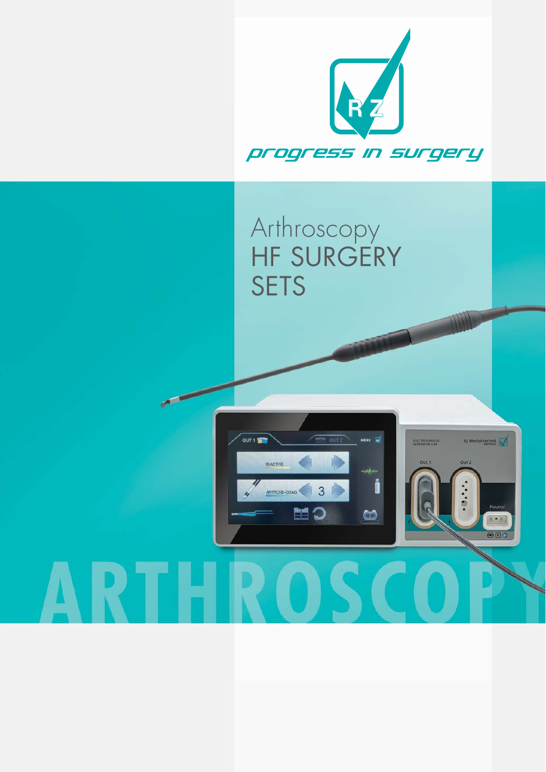

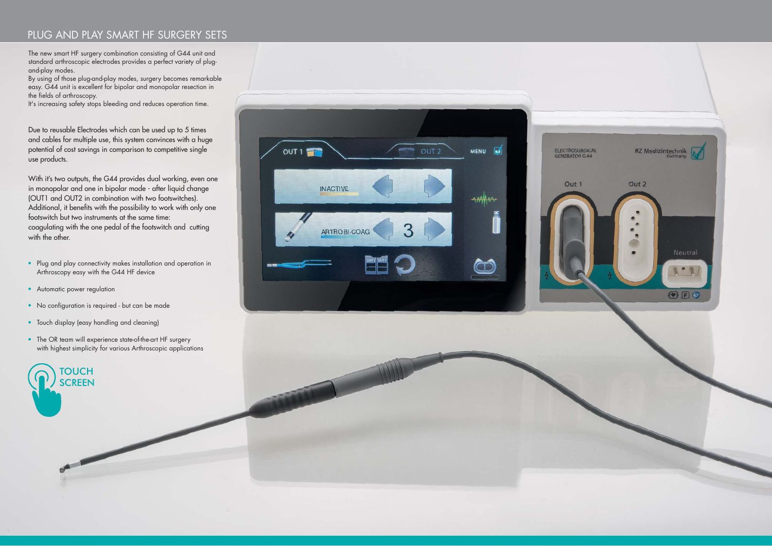# PLUG AND PLAY SMART HF SURGERY SETS

The new smart HF surgery combination consisting of G44 unit and standard arthroscopic electrodes provides a perfect variety of plugand-play modes.

By using of those plug-and-play modes, surgery becomes remarkable easy. G44 unit is excellent for bipolar and monopolar resection in the fields of arthroscopy.

It's increasing safety stops bleeding and reduces operation time.

- Plug and play connectivity makes installation and operation in Arthroscopy easy with the G44 HF device
- Automatic power regulation
- No configuration is required but can be made
- Touch display (easy handling and cleaning)
- The OR team will experience state-of-the-art HF surgery with highest simplicity for various Arthroscopic applications

Due to reusable Electrodes which can be used up to 5 times and cables for multiple use, this system convinces with a huge potential of cost savings in comparison to competitive single use products.

With it's two outputs, the G44 provides dual working, even one in monopolar and one in bipolar mode - after liquid change (OUT1 and OUT2 in combination with two footswitches). Additional, it benefits with the possibility to work with only one footswitch but two instruments at the same time: coagulating with the one pedal of the footswitch and cutting with the other.



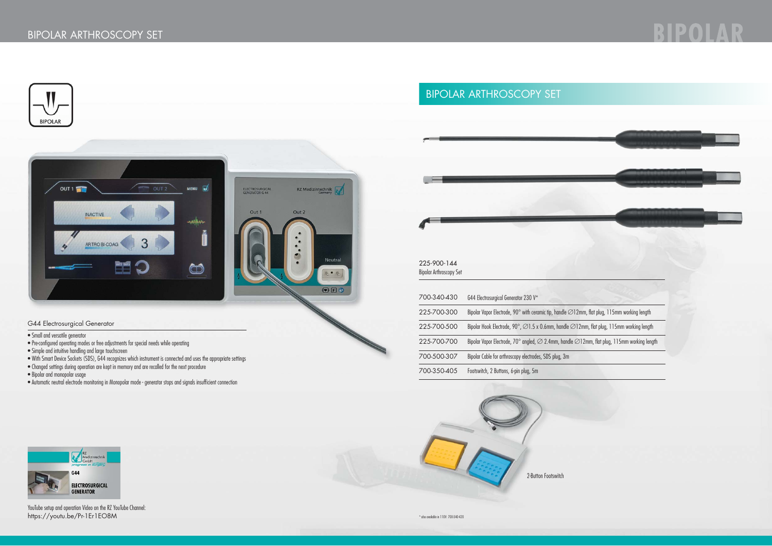





### G44 Electrosurgical Generator

• Small and versatile generator

YouTube setup and operation Video on the RZ YouTube Channel: https://youtu.be/Pr-1Er1EO8M \* also available in 110V: 700-340-420



- Pre-configured operating modes or free adjustments for special needs while operating
- Simple and intuitive handling and large touchscreen
- With Smart Device Sockets (SDS), G44 recognizes which instrument is connected and uses the appropriate settings
- Changed settings during operation are kept in memory and are recalled for the next procedure
- Bipolar and monopolar usage
- Automatic neutral electrode monitoring in Monopolar mode generator stops and signals insufficient connection



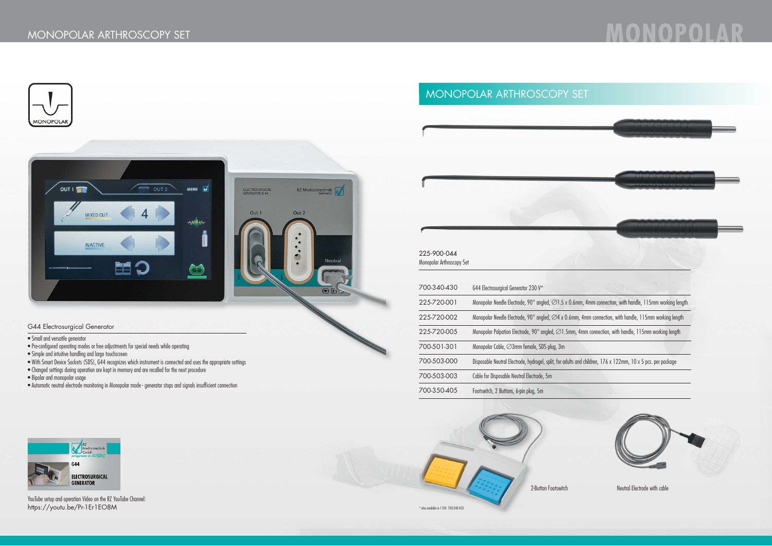

# MONOPOLAR ARTHROSCOPY SET



### G44 Electrosurgical Generator

### • Small and versatile generator

- Pre-configured operating modes or free adjustments for special needs while operating
- Simple and intuitive handling and large touchscreen
- With Smart Device Sockets (SDS), G44 recognizes which instrument is connected and uses the appropriate settings
- Changed settings during operation are kept in memory and are recalled for the next procedure
- Bipolar and monopolar usage
- Automatic neutral electrode monitoring in Monopolar mode generator stops and signals insufficient connection



| 225-900-044               |
|---------------------------|
| Monopolar Arthroscopy Set |

YouTube setup and operation Video on the RZ YouTube Channel: https://youtu.be/Pr-1Er1EO8M \* also available in 110V: 700-340-420





2-Button Footswitch Neutral Electrode with cable

| 700-340-430 | G44 Electrosurgical Generator 230 V*                                         |
|-------------|------------------------------------------------------------------------------|
| 225-720-001 | Monopolar Needle Electrode, 90 $^{\circ}$ angled, $\varnothing$ 1.5 x 0.6mm, |
| 225-720-002 | Monopolar Needle Electrode, 90 $^{\circ}$ angled, $\varnothing$ 4 x 0.6mm, 4 |
| 225-720-005 | Monopolar Palpation Electrode, 90 $^{\circ}$ angled, $\varnothing$ 1.5mm, 4m |
| 700-501-301 | Monopolar Cable, ⊘3mm female, SDS plug, 3m                                   |
| 700-503-000 | Disposable Neutral Electrode, hydrogel, split, for adults and                |
| 700-503-003 | Cable for Disposable Neutral Electrode, 5m                                   |
| 700-350-405 | Footswitch, 2 Buttons, 6-pin plug, 5m                                        |



# MONOPOI